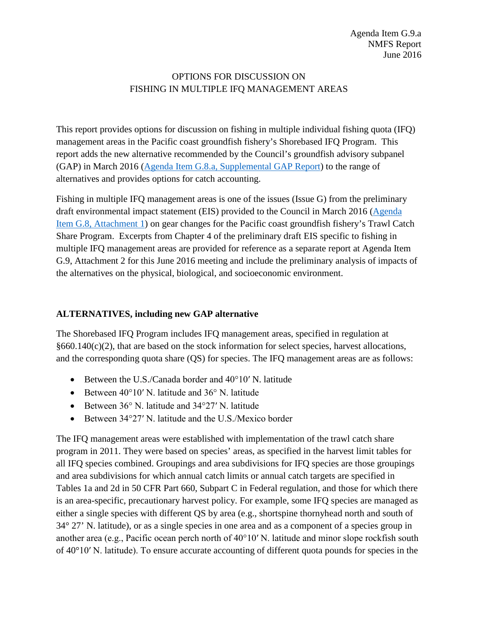# OPTIONS FOR DISCUSSION ON FISHING IN MULTIPLE IFQ MANAGEMENT AREAS

This report provides options for discussion on fishing in multiple individual fishing quota (IFQ) management areas in the Pacific coast groundfish fishery's Shorebased IFQ Program. This report adds the new alternative recommended by the Council's groundfish advisory subpanel (GAP) in March 2016 [\(Agenda Item G.8.a, Supplemental GAP Report\)](http://www.pcouncil.org/wp-content/uploads/2016/03/G8a_Sup_GAP_Rpt_GearChangesMAR2016BB.pdf) to the range of alternatives and provides options for catch accounting.

Fishing in multiple IFQ management areas is one of the issues (Issue G) from the preliminary draft environmental impact statement (EIS) provided to the Council in March 2016 [\(Agenda](http://www.pcouncil.org/wp-content/uploads/2016/02/G8_Att1_FullVersion_Prelim_GF_GearDEIS_E-Only_MAR2016BB.pdf)  [Item G.8, Attachment 1\)](http://www.pcouncil.org/wp-content/uploads/2016/02/G8_Att1_FullVersion_Prelim_GF_GearDEIS_E-Only_MAR2016BB.pdf) on gear changes for the Pacific coast groundfish fishery's Trawl Catch Share Program. Excerpts from Chapter 4 of the preliminary draft EIS specific to fishing in multiple IFQ management areas are provided for reference as a separate report at Agenda Item G.9, Attachment 2 for this June 2016 meeting and include the preliminary analysis of impacts of the alternatives on the physical, biological, and socioeconomic environment.

## **ALTERNATIVES, including new GAP alternative**

The Shorebased IFQ Program includes IFQ management areas, specified in regulation at §660.140(c)(2), that are based on the stock information for select species, harvest allocations, and the corresponding quota share (QS) for species. The IFQ management areas are as follows:

- Between the U.S./Canada border and 40°10′ N. latitude
- Between 40°10′ N. latitude and 36° N. latitude
- Between 36° N. latitude and 34°27′ N. latitude
- Between 34°27′ N. latitude and the U.S./Mexico border

The IFQ management areas were established with implementation of the trawl catch share program in 2011. They were based on species' areas, as specified in the harvest limit tables for all IFQ species combined. Groupings and area subdivisions for IFQ species are those groupings and area subdivisions for which annual catch limits or annual catch targets are specified in Tables 1a and 2d in 50 CFR Part 660, Subpart C in Federal regulation, and those for which there is an area-specific, precautionary harvest policy. For example, some IFQ species are managed as either a single species with different QS by area (e.g., shortspine thornyhead north and south of 34° 27' N. latitude), or as a single species in one area and as a component of a species group in another area (e.g., Pacific ocean perch north of 40°10′ N. latitude and minor slope rockfish south of 40°10′ N. latitude). To ensure accurate accounting of different quota pounds for species in the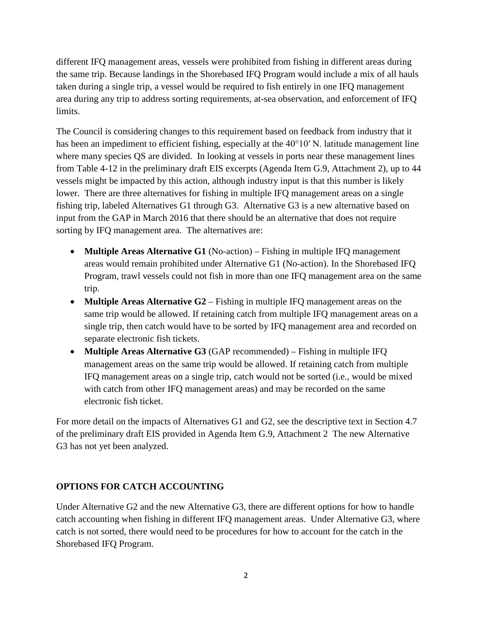different IFQ management areas, vessels were prohibited from fishing in different areas during the same trip. Because landings in the Shorebased IFQ Program would include a mix of all hauls taken during a single trip, a vessel would be required to fish entirely in one IFQ management area during any trip to address sorting requirements, at-sea observation, and enforcement of IFQ limits.

The Council is considering changes to this requirement based on feedback from industry that it has been an impediment to efficient fishing, especially at the 40°10' N. latitude management line where many species QS are divided. In looking at vessels in ports near these management lines from Table 4-12 in the preliminary draft EIS excerpts (Agenda Item G.9, Attachment 2), up to 44 vessels might be impacted by this action, although industry input is that this number is likely lower. There are three alternatives for fishing in multiple IFQ management areas on a single fishing trip, labeled Alternatives G1 through G3. Alternative G3 is a new alternative based on input from the GAP in March 2016 that there should be an alternative that does not require sorting by IFQ management area. The alternatives are:

- **Multiple Areas Alternative G1** (No-action) Fishing in multiple IFQ management areas would remain prohibited under Alternative G1 (No-action). In the Shorebased IFQ Program, trawl vessels could not fish in more than one IFQ management area on the same trip.
- **Multiple Areas Alternative G2** Fishing in multiple IFQ management areas on the same trip would be allowed. If retaining catch from multiple IFQ management areas on a single trip, then catch would have to be sorted by IFQ management area and recorded on separate electronic fish tickets.
- **Multiple Areas Alternative G3** (GAP recommended) Fishing in multiple IFQ management areas on the same trip would be allowed. If retaining catch from multiple IFQ management areas on a single trip, catch would not be sorted (i.e., would be mixed with catch from other IFQ management areas) and may be recorded on the same electronic fish ticket.

For more detail on the impacts of Alternatives G1 and G2, see the descriptive text in Section 4.7 of the preliminary draft EIS provided in Agenda Item G.9, Attachment 2 The new Alternative G3 has not yet been analyzed.

# **OPTIONS FOR CATCH ACCOUNTING**

Under Alternative G2 and the new Alternative G3, there are different options for how to handle catch accounting when fishing in different IFQ management areas. Under Alternative G3, where catch is not sorted, there would need to be procedures for how to account for the catch in the Shorebased IFQ Program.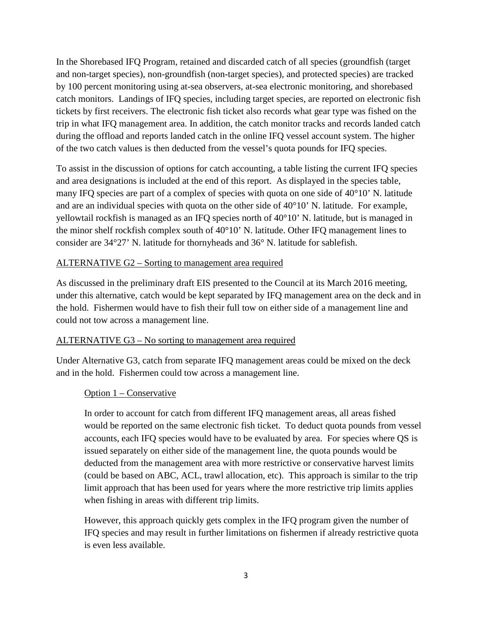In the Shorebased IFQ Program, retained and discarded catch of all species (groundfish (target and non-target species), non-groundfish (non-target species), and protected species) are tracked by 100 percent monitoring using at-sea observers, at-sea electronic monitoring, and shorebased catch monitors. Landings of IFQ species, including target species, are reported on electronic fish tickets by first receivers. The electronic fish ticket also records what gear type was fished on the trip in what IFQ management area. In addition, the catch monitor tracks and records landed catch during the offload and reports landed catch in the online IFQ vessel account system. The higher of the two catch values is then deducted from the vessel's quota pounds for IFQ species.

To assist in the discussion of options for catch accounting, a table listing the current IFQ species and area designations is included at the end of this report. As displayed in the species table, many IFQ species are part of a complex of species with quota on one side of 40°10' N. latitude and are an individual species with quota on the other side of 40°10' N. latitude. For example, yellowtail rockfish is managed as an IFQ species north of 40°10' N. latitude, but is managed in the minor shelf rockfish complex south of 40°10' N. latitude. Other IFQ management lines to consider are 34°27' N. latitude for thornyheads and 36° N. latitude for sablefish.

### ALTERNATIVE G2 – Sorting to management area required

As discussed in the preliminary draft EIS presented to the Council at its March 2016 meeting, under this alternative, catch would be kept separated by IFQ management area on the deck and in the hold. Fishermen would have to fish their full tow on either side of a management line and could not tow across a management line.

#### ALTERNATIVE G3 – No sorting to management area required

Under Alternative G3, catch from separate IFQ management areas could be mixed on the deck and in the hold. Fishermen could tow across a management line.

### Option 1 – Conservative

In order to account for catch from different IFQ management areas, all areas fished would be reported on the same electronic fish ticket. To deduct quota pounds from vessel accounts, each IFQ species would have to be evaluated by area. For species where QS is issued separately on either side of the management line, the quota pounds would be deducted from the management area with more restrictive or conservative harvest limits (could be based on ABC, ACL, trawl allocation, etc). This approach is similar to the trip limit approach that has been used for years where the more restrictive trip limits applies when fishing in areas with different trip limits.

However, this approach quickly gets complex in the IFQ program given the number of IFQ species and may result in further limitations on fishermen if already restrictive quota is even less available.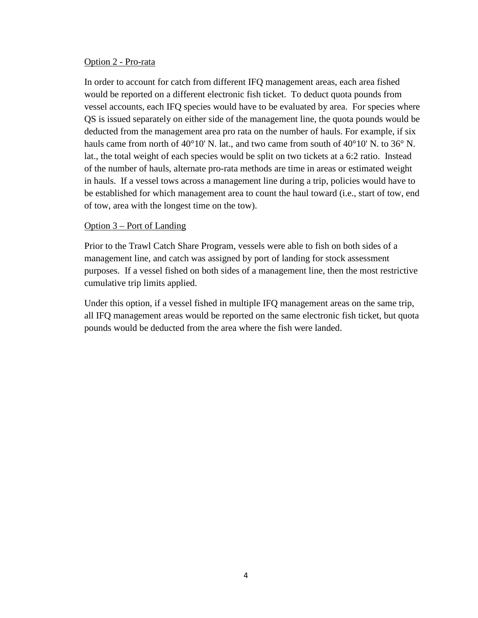#### Option 2 - Pro-rata

In order to account for catch from different IFQ management areas, each area fished would be reported on a different electronic fish ticket. To deduct quota pounds from vessel accounts, each IFQ species would have to be evaluated by area. For species where QS is issued separately on either side of the management line, the quota pounds would be deducted from the management area pro rata on the number of hauls. For example, if six hauls came from north of 40°10' N. lat., and two came from south of 40°10' N. to 36° N. lat., the total weight of each species would be split on two tickets at a 6:2 ratio. Instead of the number of hauls, alternate pro-rata methods are time in areas or estimated weight in hauls. If a vessel tows across a management line during a trip, policies would have to be established for which management area to count the haul toward (i.e., start of tow, end of tow, area with the longest time on the tow).

#### Option 3 – Port of Landing

Prior to the Trawl Catch Share Program, vessels were able to fish on both sides of a management line, and catch was assigned by port of landing for stock assessment purposes. If a vessel fished on both sides of a management line, then the most restrictive cumulative trip limits applied.

Under this option, if a vessel fished in multiple IFQ management areas on the same trip, all IFQ management areas would be reported on the same electronic fish ticket, but quota pounds would be deducted from the area where the fish were landed.